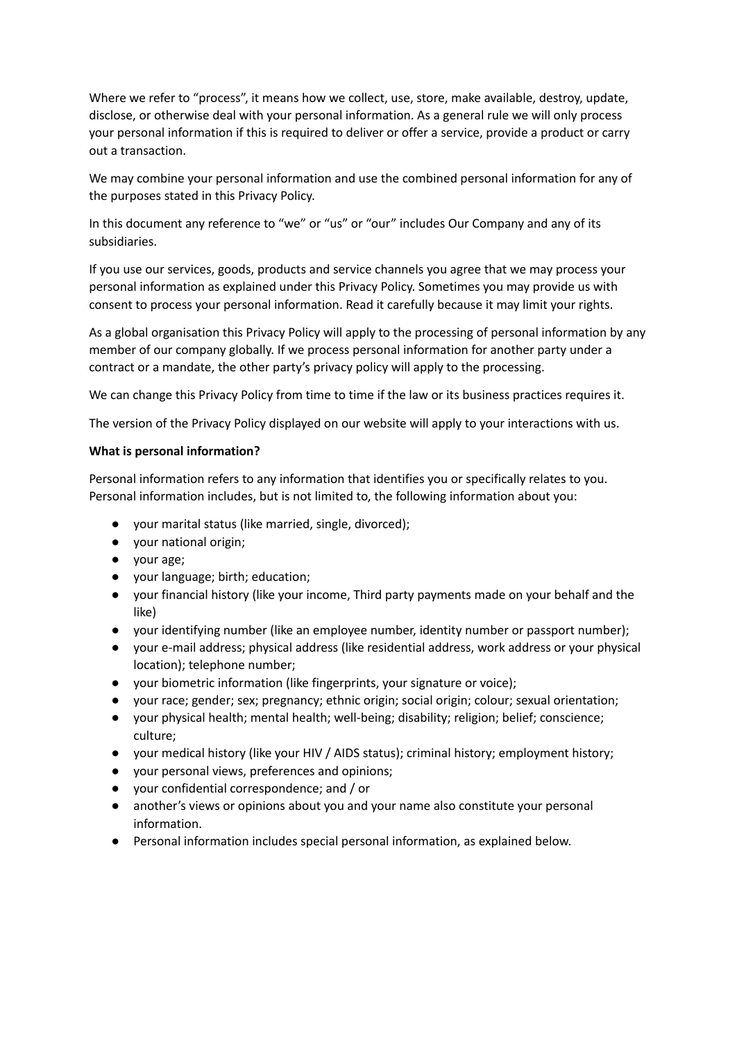Where we refer to "process", it means how we collect, use, store, make available, destroy, update, disclose, or otherwise deal with your personal information. As a general rule we will only process your personal information if this is required to deliver or offer a service, provide a product or carry out a transaction.

We may combine your personal information and use the combined personal information for any of the purposes stated in this Privacy Policy.

In this document any reference to "we" or "us" or "our" includes Our Company and any of its subsidiaries.

If you use our services, goods, products and service channels you agree that we may process your personal information as explained under this Privacy Policy. Sometimes you may provide us with consent to process your personal information. Read it carefully because it may limit your rights.

As a global organisation this Privacy Policy will apply to the processing of personal information by any member of our company globally. If we process personal information for another party under a contract or a mandate, the other party's privacy policy will apply to the processing.

We can change this Privacy Policy from time to time if the law or its business practices requires it.

The version of the Privacy Policy displayed on our website will apply to your interactions with us.

## **What is personal information?**

Personal information refers to any information that identifies you or specifically relates to you. Personal information includes, but is not limited to, the following information about you:

- your marital status (like married, single, divorced);
- your national origin;
- your age;
- your language; birth; education;
- your financial history (like your income, Third party payments made on your behalf and the like)
- your identifying number (like an employee number, identity number or passport number);
- your e-mail address; physical address (like residential address, work address or your physical location); telephone number;
- your biometric information (like fingerprints, your signature or voice);
- your race; gender; sex; pregnancy; ethnic origin; social origin; colour; sexual orientation;
- your physical health; mental health; well-being; disability; religion; belief; conscience; culture;
- your medical history (like your HIV / AIDS status); criminal history; employment history;
- your personal views, preferences and opinions;
- your confidential correspondence; and / or
- another's views or opinions about you and your name also constitute your personal information.
- Personal information includes special personal information, as explained below.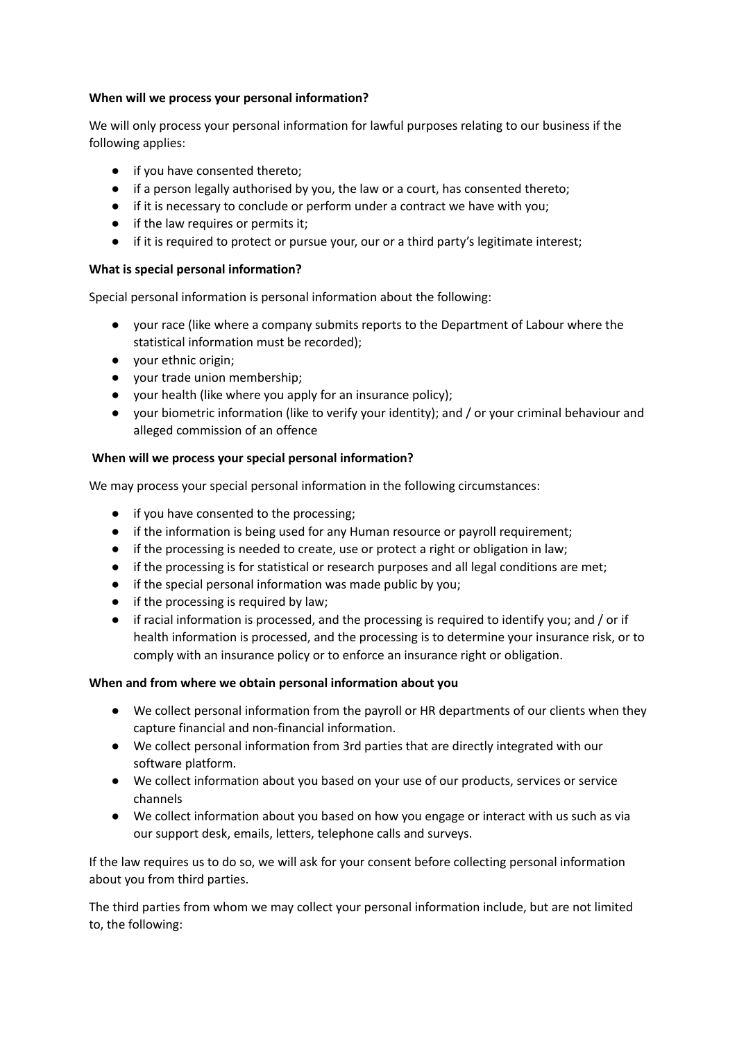# **When will we process your personal information?**

We will only process your personal information for lawful purposes relating to our business if the following applies:

- if you have consented thereto;
- if a person legally authorised by you, the law or a court, has consented thereto;
- if it is necessary to conclude or perform under a contract we have with you;
- if the law requires or permits it;
- if it is required to protect or pursue your, our or a third party's legitimate interest;

# **What is special personal information?**

Special personal information is personal information about the following:

- your race (like where a company submits reports to the Department of Labour where the statistical information must be recorded);
- your ethnic origin;
- your trade union membership;
- your health (like where you apply for an insurance policy);
- your biometric information (like to verify your identity); and / or your criminal behaviour and alleged commission of an offence

# **When will we process your special personal information?**

We may process your special personal information in the following circumstances:

- if you have consented to the processing;
- if the information is being used for any Human resource or payroll requirement;
- if the processing is needed to create, use or protect a right or obligation in law;
- if the processing is for statistical or research purposes and all legal conditions are met;
- if the special personal information was made public by you;
- if the processing is required by law;
- if racial information is processed, and the processing is required to identify you; and / or if health information is processed, and the processing is to determine your insurance risk, or to comply with an insurance policy or to enforce an insurance right or obligation.

# **When and from where we obtain personal information about you**

- We collect personal information from the payroll or HR departments of our clients when they capture financial and non-financial information.
- We collect personal information from 3rd parties that are directly integrated with our software platform.
- We collect information about you based on your use of our products, services or service channels
- We collect information about you based on how you engage or interact with us such as via our support desk, emails, letters, telephone calls and surveys.

If the law requires us to do so, we will ask for your consent before collecting personal information about you from third parties.

The third parties from whom we may collect your personal information include, but are not limited to, the following: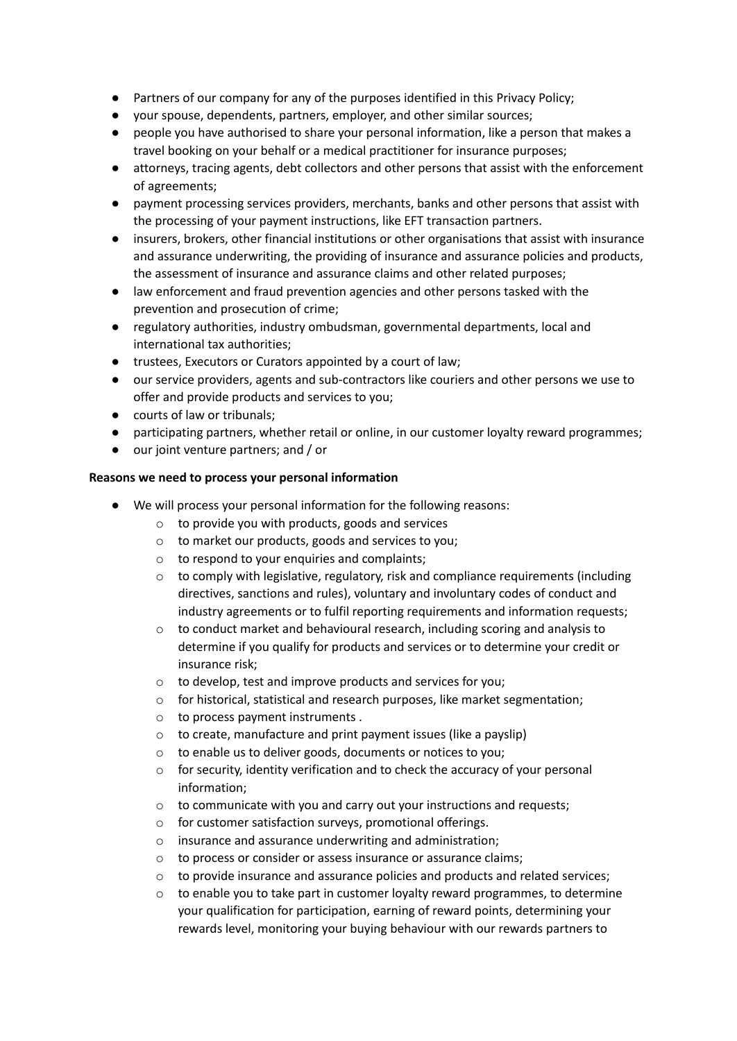- Partners of our company for any of the purposes identified in this Privacy Policy;
- your spouse, dependents, partners, employer, and other similar sources;
- people you have authorised to share your personal information, like a person that makes a travel booking on your behalf or a medical practitioner for insurance purposes;
- attorneys, tracing agents, debt collectors and other persons that assist with the enforcement of agreements;
- payment processing services providers, merchants, banks and other persons that assist with the processing of your payment instructions, like EFT transaction partners.
- insurers, brokers, other financial institutions or other organisations that assist with insurance and assurance underwriting, the providing of insurance and assurance policies and products, the assessment of insurance and assurance claims and other related purposes;
- law enforcement and fraud prevention agencies and other persons tasked with the prevention and prosecution of crime;
- regulatory authorities, industry ombudsman, governmental departments, local and international tax authorities;
- trustees, Executors or Curators appointed by a court of law;
- our service providers, agents and sub-contractors like couriers and other persons we use to offer and provide products and services to you;
- courts of law or tribunals;
- participating partners, whether retail or online, in our customer loyalty reward programmes;
- our joint venture partners; and / or

## **Reasons we need to process your personal information**

- We will process your personal information for the following reasons:
	- o to provide you with products, goods and services
	- o to market our products, goods and services to you;
	- $\circ$  to respond to your enquiries and complaints:
	- $\circ$  to comply with legislative, regulatory, risk and compliance requirements (including directives, sanctions and rules), voluntary and involuntary codes of conduct and industry agreements or to fulfil reporting requirements and information requests;
	- o to conduct market and behavioural research, including scoring and analysis to determine if you qualify for products and services or to determine your credit or insurance risk;
	- o to develop, test and improve products and services for you;
	- $\circ$  for historical, statistical and research purposes, like market segmentation;
	- o to process payment instruments .
	- o to create, manufacture and print payment issues (like a payslip)
	- o to enable us to deliver goods, documents or notices to you;
	- $\circ$  for security, identity verification and to check the accuracy of your personal information;
	- o to communicate with you and carry out your instructions and requests;
	- o for customer satisfaction surveys, promotional offerings.
	- o insurance and assurance underwriting and administration;
	- o to process or consider or assess insurance or assurance claims;
	- $\circ$  to provide insurance and assurance policies and products and related services;
	- $\circ$  to enable you to take part in customer loyalty reward programmes, to determine your qualification for participation, earning of reward points, determining your rewards level, monitoring your buying behaviour with our rewards partners to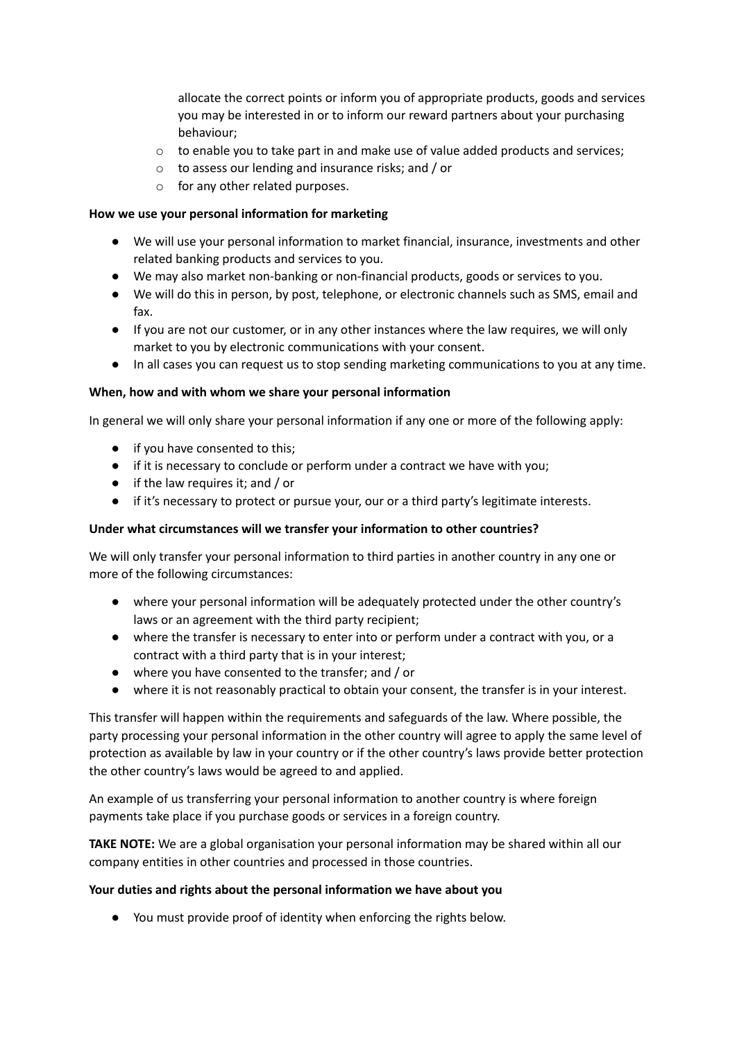allocate the correct points or inform you of appropriate products, goods and services you may be interested in or to inform our reward partners about your purchasing behaviour;

- $\circ$  to enable you to take part in and make use of value added products and services;
- o to assess our lending and insurance risks; and / or
- o for any other related purposes.

## **How we use your personal information for marketing**

- We will use your personal information to market financial, insurance, investments and other related banking products and services to you.
- We may also market non-banking or non-financial products, goods or services to you.
- We will do this in person, by post, telephone, or electronic channels such as SMS, email and fax.
- If you are not our customer, or in any other instances where the law requires, we will only market to you by electronic communications with your consent.
- In all cases you can request us to stop sending marketing communications to you at any time.

#### **When, how and with whom we share your personal information**

In general we will only share your personal information if any one or more of the following apply:

- if you have consented to this;
- if it is necessary to conclude or perform under a contract we have with you;
- if the law requires it; and / or
- if it's necessary to protect or pursue your, our or a third party's legitimate interests.

## **Under what circumstances will we transfer your information to other countries?**

We will only transfer your personal information to third parties in another country in any one or more of the following circumstances:

- where your personal information will be adequately protected under the other country's laws or an agreement with the third party recipient;
- where the transfer is necessary to enter into or perform under a contract with you, or a contract with a third party that is in your interest;
- where you have consented to the transfer; and / or
- where it is not reasonably practical to obtain your consent, the transfer is in your interest.

This transfer will happen within the requirements and safeguards of the law. Where possible, the party processing your personal information in the other country will agree to apply the same level of protection as available by law in your country or if the other country's laws provide better protection the other country's laws would be agreed to and applied.

An example of us transferring your personal information to another country is where foreign payments take place if you purchase goods or services in a foreign country.

**TAKE NOTE:** We are a global organisation your personal information may be shared within all our company entities in other countries and processed in those countries.

#### **Your duties and rights about the personal information we have about you**

● You must provide proof of identity when enforcing the rights below.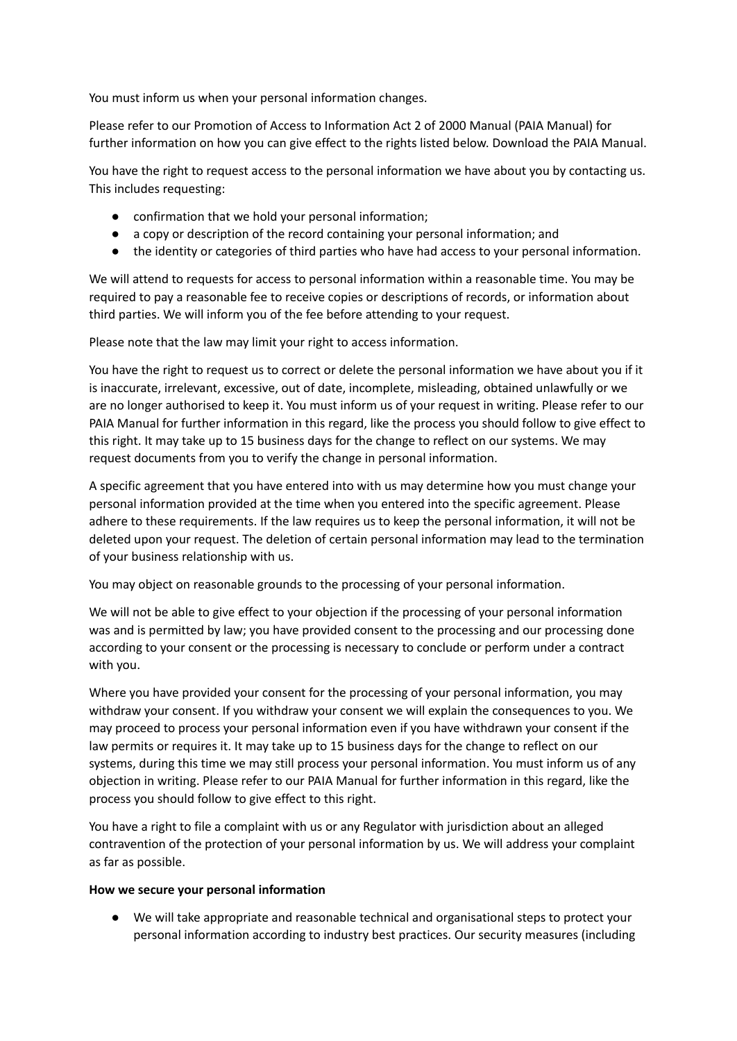You must inform us when your personal information changes.

Please refer to our Promotion of Access to Information Act 2 of 2000 Manual (PAIA Manual) for further information on how you can give effect to the rights listed below. Download the PAIA Manual.

You have the right to request access to the personal information we have about you by contacting us. This includes requesting:

- confirmation that we hold your personal information;
- a copy or description of the record containing your personal information; and
- the identity or categories of third parties who have had access to your personal information.

We will attend to requests for access to personal information within a reasonable time. You may be required to pay a reasonable fee to receive copies or descriptions of records, or information about third parties. We will inform you of the fee before attending to your request.

Please note that the law may limit your right to access information.

You have the right to request us to correct or delete the personal information we have about you if it is inaccurate, irrelevant, excessive, out of date, incomplete, misleading, obtained unlawfully or we are no longer authorised to keep it. You must inform us of your request in writing. Please refer to our PAIA Manual for further information in this regard, like the process you should follow to give effect to this right. It may take up to 15 business days for the change to reflect on our systems. We may request documents from you to verify the change in personal information.

A specific agreement that you have entered into with us may determine how you must change your personal information provided at the time when you entered into the specific agreement. Please adhere to these requirements. If the law requires us to keep the personal information, it will not be deleted upon your request. The deletion of certain personal information may lead to the termination of your business relationship with us.

You may object on reasonable grounds to the processing of your personal information.

We will not be able to give effect to your objection if the processing of your personal information was and is permitted by law; you have provided consent to the processing and our processing done according to your consent or the processing is necessary to conclude or perform under a contract with you.

Where you have provided your consent for the processing of your personal information, you may withdraw your consent. If you withdraw your consent we will explain the consequences to you. We may proceed to process your personal information even if you have withdrawn your consent if the law permits or requires it. It may take up to 15 business days for the change to reflect on our systems, during this time we may still process your personal information. You must inform us of any objection in writing. Please refer to our PAIA Manual for further information in this regard, like the process you should follow to give effect to this right.

You have a right to file a complaint with us or any Regulator with jurisdiction about an alleged contravention of the protection of your personal information by us. We will address your complaint as far as possible.

#### **How we secure your personal information**

● We will take appropriate and reasonable technical and organisational steps to protect your personal information according to industry best practices. Our security measures (including